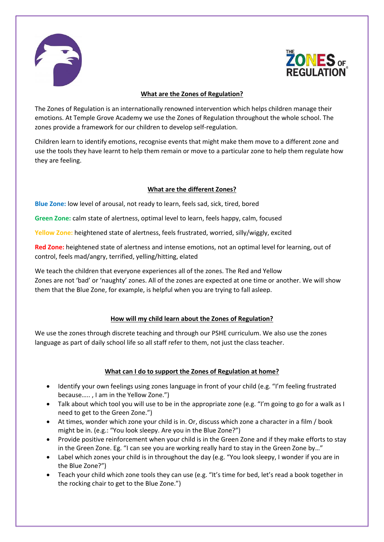



#### **What are the Zones of Regulation?**

The Zones of Regulation is an internationally renowned intervention which helps children manage their emotions. At Temple Grove Academy we use the Zones of Regulation throughout the whole school. The zones provide a framework for our children to develop self-regulation.

Children learn to identify emotions, recognise events that might make them move to a different zone and use the tools they have learnt to help them remain or move to a particular zone to help them regulate how they are feeling.

## **What are the different Zones?**

**Blue Zone:** low level of arousal, not ready to learn, feels sad, sick, tired, bored

**Green Zone:** calm state of alertness, optimal level to learn, feels happy, calm, focused

**Yellow Zone:** heightened state of alertness, feels frustrated, worried, silly/wiggly, excited

**Red Zone:** heightened state of alertness and intense emotions, not an optimal level for learning, out of control, feels mad/angry, terrified, yelling/hitting, elated

We teach the children that everyone experiences all of the zones. The Red and Yellow Zones are not 'bad' or 'naughty' zones. All of the zones are expected at one time or another. We will show them that the Blue Zone, for example, is helpful when you are trying to fall asleep.

## **How will my child learn about the Zones of Regulation?**

We use the zones through discrete teaching and through our PSHE curriculum. We also use the zones language as part of daily school life so all staff refer to them, not just the class teacher.

## **What can I do to support the Zones of Regulation at home?**

- Identify your own feelings using zones language in front of your child (e.g. "I'm feeling frustrated because….. , I am in the Yellow Zone.")
- Talk about which tool you will use to be in the appropriate zone (e.g. "I'm going to go for a walk as I need to get to the Green Zone.")
- At times, wonder which zone your child is in. Or, discuss which zone a character in a film / book might be in. (e.g.: "You look sleepy. Are you in the Blue Zone?")
- Provide positive reinforcement when your child is in the Green Zone and if they make efforts to stay in the Green Zone. Eg. "I can see you are working really hard to stay in the Green Zone by…"
- Label which zones your child is in throughout the day (e.g. "You look sleepy, I wonder if you are in the Blue Zone?")
- Teach your child which zone tools they can use (e.g. "It's time for bed, let's read a book together in the rocking chair to get to the Blue Zone.")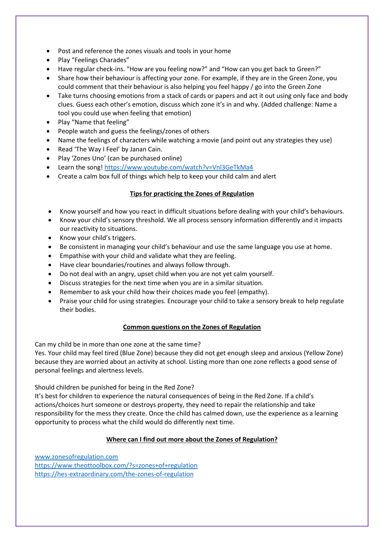- Post and reference the zones visuals and tools in your home
- Play "Feelings Charades"
- Have regular check-ins. "How are you feeling now?" and "How can you get back to Green?"
- Share how their behaviour is affecting your zone. For example, if they are in the Green Zone, you could comment that their behaviour is also helping you feel happy / go into the Green Zone
- Take turns choosing emotions from a stack of cards or papers and act it out using only face and body clues. Guess each other's emotion, discuss which zone it's in and why. (Added challenge: Name a tool you could use when feeling that emotion)
- Play "Name that feeling"
- People watch and guess the feelings/zones of others
- Name the feelings of characters while watching a movie (and point out any strategies they use)
- Read 'The Way I Feel' by Janan Cain.
- Play 'Zones Uno' (can be purchased online)
- Learn the song!<https://www.youtube.com/watch?v=Vnl3GeTkMa4>
- Create a calm box full of things which help to keep your child calm and alert

## **Tips for practicing the Zones of Regulation**

- Know yourself and how you react in difficult situations before dealing with your child's behaviours.
- Know your child's sensory threshold. We all process sensory information differently and it impacts our reactivity to situations.
- Know your child's triggers.
- Be consistent in managing your child's behaviour and use the same language you use at home.
- Empathise with your child and validate what they are feeling.
- Have clear boundaries/routines and always follow through.
- Do not deal with an angry, upset child when you are not yet calm yourself.
- Discuss strategies for the next time when you are in a similar situation.
- Remember to ask your child how their choices made you feel (empathy).
- Praise your child for using strategies. Encourage your child to take a sensory break to help regulate their bodies.

## **Common questions on the Zones of Regulation**

Can my child be in more than one zone at the same time?

Yes. Your child may feel tired (Blue Zone) because they did not get enough sleep and anxious (Yellow Zone) because they are worried about an activity at school. Listing more than one zone reflects a good sense of personal feelings and alertness levels.

Should children be punished for being in the Red Zone?

It's best for children to experience the natural consequences of being in the Red Zone. If a child's actions/choices hurt someone or destroys property, they need to repair the relationship and take responsibility for the mess they create. Once the child has calmed down, use the experience as a learning opportunity to process what the child would do differently next time.

## **Where can I find out more about the Zones of Regulation?**

[www.zonesofregulation.com](http://www.zonesofregulation.com/) <https://www.theottoolbox.com/?s=zones+of+regulation> <https://hes-extraordinary.com/the-zones-of-regulation>